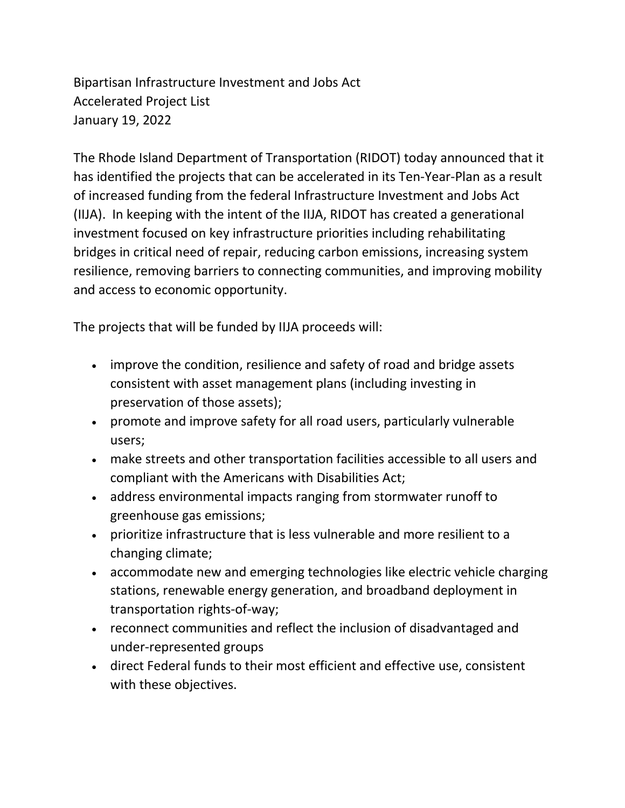Bipartisan Infrastructure Investment and Jobs Act Accelerated Project List January 19, 2022

The Rhode Island Department of Transportation (RIDOT) today announced that it has identified the projects that can be accelerated in its Ten-Year-Plan as a result of increased funding from the federal Infrastructure Investment and Jobs Act (IIJA). In keeping with the intent of the IIJA, RIDOT has created a generational investment focused on key infrastructure priorities including rehabilitating bridges in critical need of repair, reducing carbon emissions, increasing system resilience, removing barriers to connecting communities, and improving mobility and access to economic opportunity.

The projects that will be funded by IIJA proceeds will:

- improve the condition, resilience and safety of road and bridge assets consistent with asset management plans (including investing in preservation of those assets);
- promote and improve safety for all road users, particularly vulnerable users;
- make streets and other transportation facilities accessible to all users and compliant with the Americans with Disabilities Act;
- address environmental impacts ranging from stormwater runoff to greenhouse gas emissions;
- prioritize infrastructure that is less vulnerable and more resilient to a changing climate;
- accommodate new and emerging technologies like electric vehicle charging stations, renewable energy generation, and broadband deployment in transportation rights-of-way;
- reconnect communities and reflect the inclusion of disadvantaged and under-represented groups
- direct Federal funds to their most efficient and effective use, consistent with these objectives.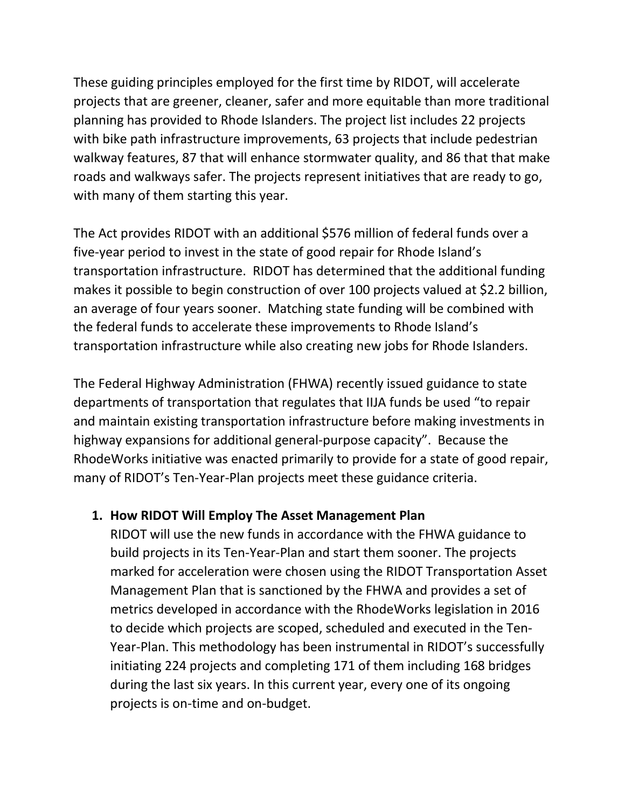These guiding principles employed for the first time by RIDOT, will accelerate projects that are greener, cleaner, safer and more equitable than more traditional planning has provided to Rhode Islanders. The project list includes 22 projects with bike path infrastructure improvements, 63 projects that include pedestrian walkway features, 87 that will enhance stormwater quality, and 86 that that make roads and walkways safer. The projects represent initiatives that are ready to go, with many of them starting this year.

The Act provides RIDOT with an additional \$576 million of federal funds over a five-year period to invest in the state of good repair for Rhode Island's transportation infrastructure. RIDOT has determined that the additional funding makes it possible to begin construction of over 100 projects valued at \$2.2 billion, an average of four years sooner. Matching state funding will be combined with the federal funds to accelerate these improvements to Rhode Island's transportation infrastructure while also creating new jobs for Rhode Islanders.

The Federal Highway Administration (FHWA) recently issued guidance to state departments of transportation that regulates that IIJA funds be used "to repair and maintain existing transportation infrastructure before making investments in highway expansions for additional general-purpose capacity". Because the RhodeWorks initiative was enacted primarily to provide for a state of good repair, many of RIDOT's Ten-Year-Plan projects meet these guidance criteria.

#### **1. How RIDOT Will Employ The Asset Management Plan**

RIDOT will use the new funds in accordance with the FHWA guidance to build projects in its Ten-Year-Plan and start them sooner. The projects marked for acceleration were chosen using the RIDOT Transportation Asset Management Plan that is sanctioned by the FHWA and provides a set of metrics developed in accordance with the RhodeWorks legislation in 2016 to decide which projects are scoped, scheduled and executed in the Ten-Year-Plan. This methodology has been instrumental in RIDOT's successfully initiating 224 projects and completing 171 of them including 168 bridges during the last six years. In this current year, every one of its ongoing projects is on-time and on-budget.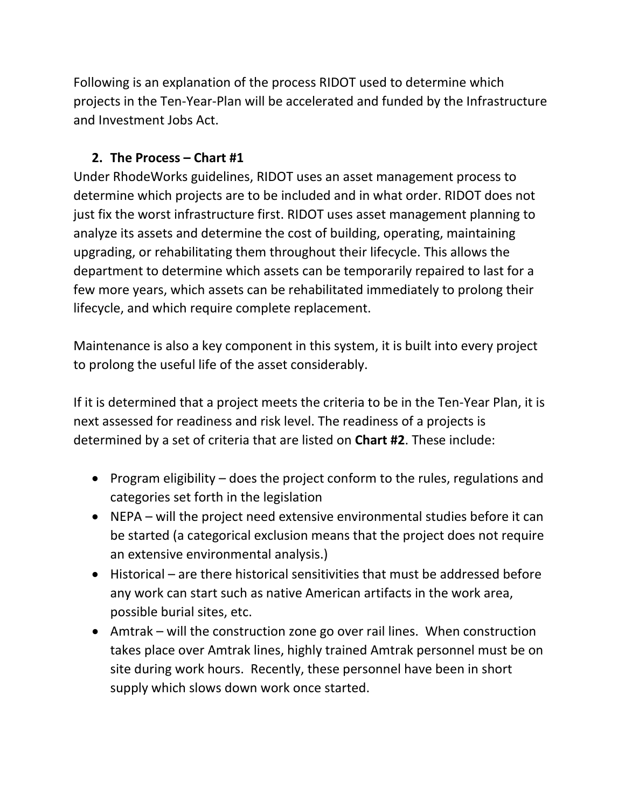Following is an explanation of the process RIDOT used to determine which projects in the Ten-Year-Plan will be accelerated and funded by the Infrastructure and Investment Jobs Act.

### **2. The Process – Chart #1**

Under RhodeWorks guidelines, RIDOT uses an asset management process to determine which projects are to be included and in what order. RIDOT does not just fix the worst infrastructure first. RIDOT uses asset management planning to analyze its assets and determine the cost of building, operating, maintaining upgrading, or rehabilitating them throughout their lifecycle. This allows the department to determine which assets can be temporarily repaired to last for a few more years, which assets can be rehabilitated immediately to prolong their lifecycle, and which require complete replacement.

Maintenance is also a key component in this system, it is built into every project to prolong the useful life of the asset considerably.

If it is determined that a project meets the criteria to be in the Ten-Year Plan, it is next assessed for readiness and risk level. The readiness of a projects is determined by a set of criteria that are listed on **Chart #2**. These include:

- Program eligibility does the project conform to the rules, regulations and categories set forth in the legislation
- NEPA will the project need extensive environmental studies before it can be started (a categorical exclusion means that the project does not require an extensive environmental analysis.)
- Historical are there historical sensitivities that must be addressed before any work can start such as native American artifacts in the work area, possible burial sites, etc.
- Amtrak will the construction zone go over rail lines. When construction takes place over Amtrak lines, highly trained Amtrak personnel must be on site during work hours. Recently, these personnel have been in short supply which slows down work once started.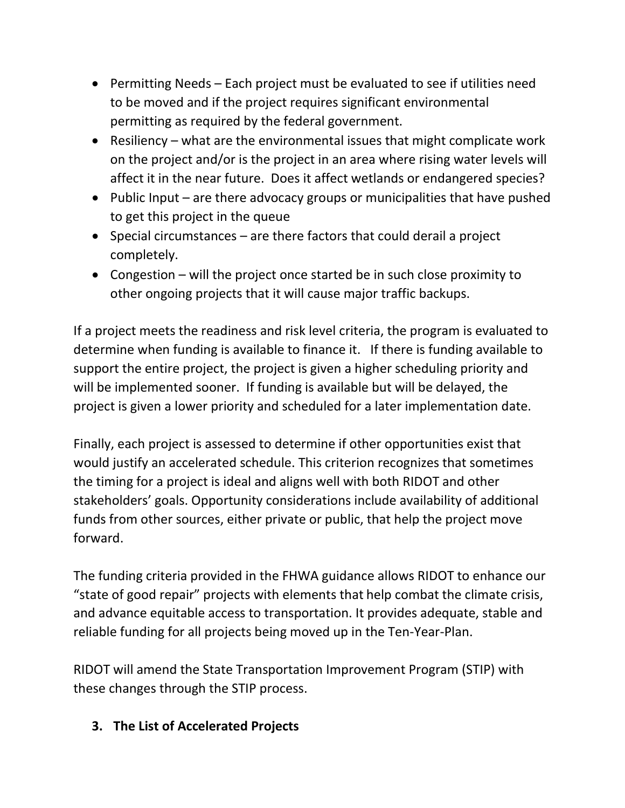- Permitting Needs Each project must be evaluated to see if utilities need to be moved and if the project requires significant environmental permitting as required by the federal government.
- Resiliency what are the environmental issues that might complicate work on the project and/or is the project in an area where rising water levels will affect it in the near future. Does it affect wetlands or endangered species?
- Public Input are there advocacy groups or municipalities that have pushed to get this project in the queue
- Special circumstances are there factors that could derail a project completely.
- Congestion will the project once started be in such close proximity to other ongoing projects that it will cause major traffic backups.

If a project meets the readiness and risk level criteria, the program is evaluated to determine when funding is available to finance it. If there is funding available to support the entire project, the project is given a higher scheduling priority and will be implemented sooner. If funding is available but will be delayed, the project is given a lower priority and scheduled for a later implementation date.

Finally, each project is assessed to determine if other opportunities exist that would justify an accelerated schedule. This criterion recognizes that sometimes the timing for a project is ideal and aligns well with both RIDOT and other stakeholders' goals. Opportunity considerations include availability of additional funds from other sources, either private or public, that help the project move forward.

The funding criteria provided in the FHWA guidance allows RIDOT to enhance our "state of good repair" projects with elements that help combat the climate crisis, and advance equitable access to transportation. It provides adequate, stable and reliable funding for all projects being moved up in the Ten-Year-Plan.

RIDOT will amend the State Transportation Improvement Program (STIP) with these changes through the STIP process.

#### **3. The List of Accelerated Projects**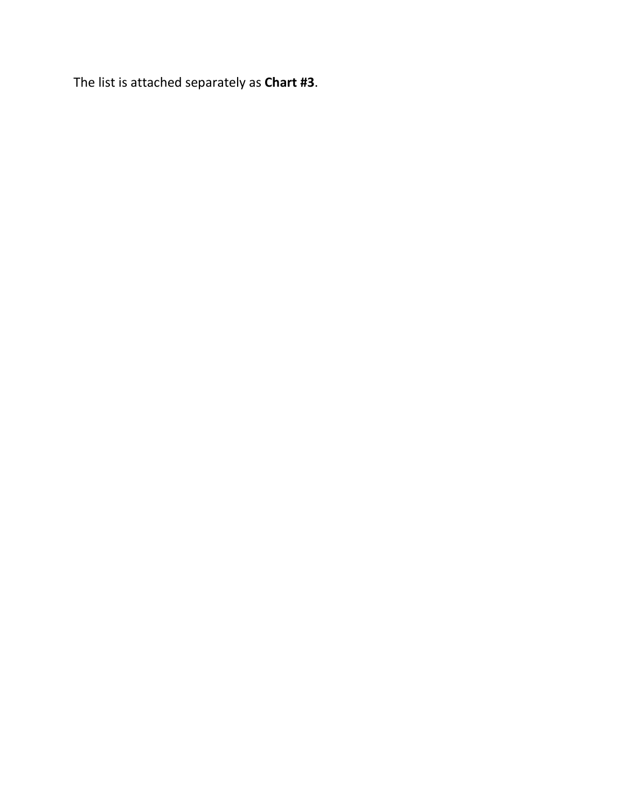The list is attached separately as **Chart #3**.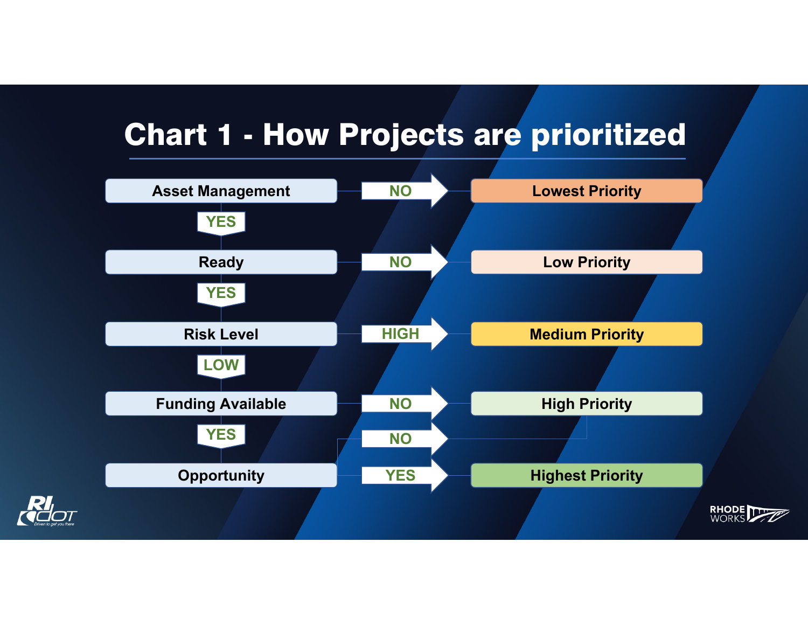# Chart 1 - How Projects are prioritized

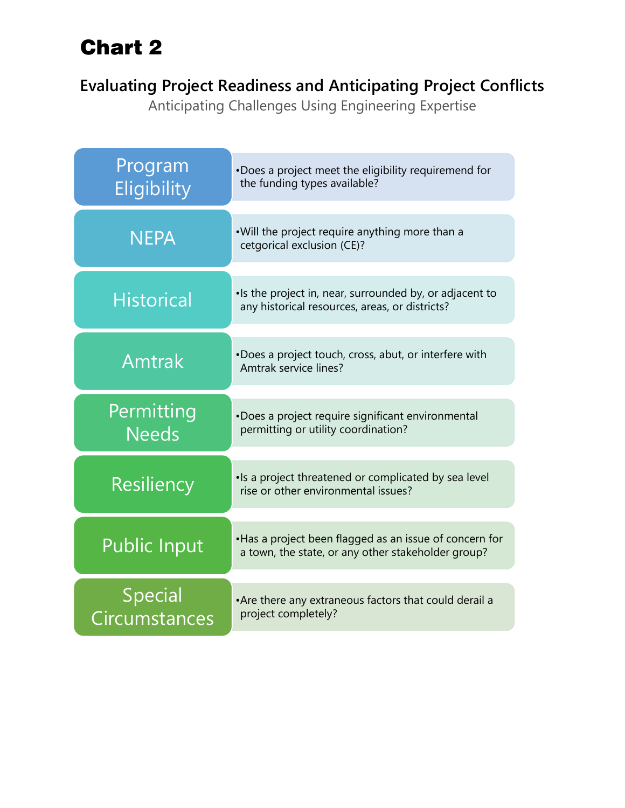# Chart 2

### **Evaluating Project Readiness and Anticipating Project Conflicts**

Anticipating Challenges Using Engineering Expertise

| Program<br>Eligibility          | •Does a project meet the eligibility requiremend for<br>the funding types available?                         |
|---------------------------------|--------------------------------------------------------------------------------------------------------------|
| <b>NEPA</b>                     | . Will the project require anything more than a<br>cetgorical exclusion (CE)?                                |
| <b>Historical</b>               | •Is the project in, near, surrounded by, or adjacent to<br>any historical resources, areas, or districts?    |
| Amtrak                          | •Does a project touch, cross, abut, or interfere with<br>Amtrak service lines?                               |
| Permitting<br><b>Needs</b>      | •Does a project require significant environmental<br>permitting or utility coordination?                     |
| Resiliency                      | · Is a project threatened or complicated by sea level<br>rise or other environmental issues?                 |
| <b>Public Input</b>             | •Has a project been flagged as an issue of concern for<br>a town, the state, or any other stakeholder group? |
| <b>Special</b><br>Circumstances | • Are there any extraneous factors that could derail a<br>project completely?                                |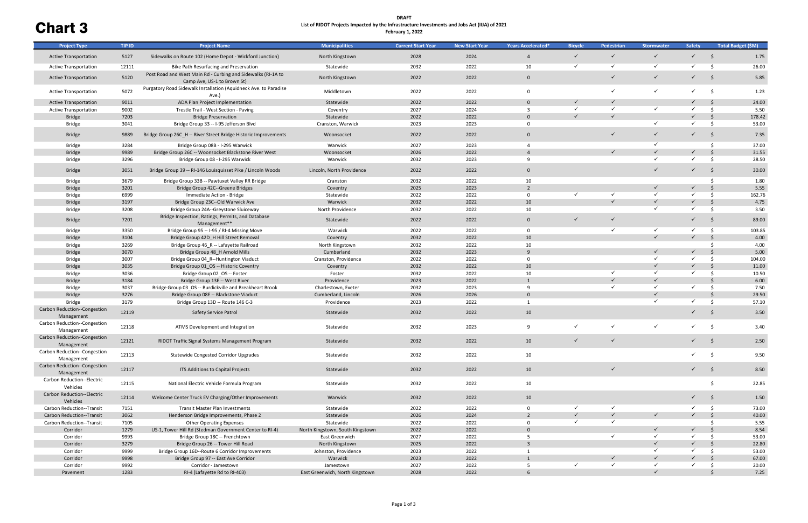**DRAFT List of RIDOT Projects Impacted by the Infrastructure Investments and Jobs Act (IIJA) of 2021 February 1, 2022**

| <b>Project Type</b>                        | TIP ID | <b>Project Name</b>                                                                         | <b>Municipalities</b>            | <b>Current Start Year</b> | <b>New Start Year</b> | Years Accelerated* | <b>Bicycle</b> | Pedestrian   | Stormwater   | Safety       |                     | Total Budget (\$M) |
|--------------------------------------------|--------|---------------------------------------------------------------------------------------------|----------------------------------|---------------------------|-----------------------|--------------------|----------------|--------------|--------------|--------------|---------------------|--------------------|
| <b>Active Transportation</b>               | 5127   | Sidewalks on Route 102 (Home Depot - Wickford Junction)                                     | North Kingstown                  | 2028                      | 2024                  | $\overline{4}$     | $\checkmark$   | $\checkmark$ | $\checkmark$ | $\checkmark$ | \$                  | 1.75               |
| <b>Active Transportation</b>               | 12111  | Bike Path Resurfacing and Preservation                                                      | Statewide                        | 2032                      | 2022                  | 10                 | $\checkmark$   | $\checkmark$ | $\checkmark$ | $\checkmark$ | Ŝ.                  | 26.00              |
| <b>Active Transportation</b>               | 5120   | Post Road and West Main Rd - Curbing and Sidewalks (RI-1A to<br>Camp Ave, US-1 to Brown St) | North Kingstown                  | 2022                      | 2022                  | $\overline{0}$     |                | $\checkmark$ | $\checkmark$ | $\checkmark$ | - Ś                 | 5.85               |
| <b>Active Transportation</b>               | 5072   | Purgatory Road Sidewalk Installation (Aquidneck Ave. to Paradise<br>Ave.)                   | Middletown                       | 2022                      | 2022                  | $\mathbf 0$        |                | $\checkmark$ | $\checkmark$ | $\checkmark$ | -\$                 | 1.23               |
| <b>Active Transportation</b>               | 9011   | ADA Plan Project Implementation                                                             | Statewide                        | 2022                      | 2022                  | $\mathbf{0}$       | $\checkmark$   | $\checkmark$ |              | $\checkmark$ | Ŝ.                  | 24.00              |
| <b>Active Transportation</b>               | 9002   | Trestle Trail - West Section - Paving                                                       | Coventry                         | 2027                      | 2024                  | 3                  | $\checkmark$   | $\checkmark$ | $\checkmark$ | $\checkmark$ | \$                  | 5.50               |
| <b>Bridge</b>                              | 7203   | <b>Bridge Preservation</b>                                                                  | Statewide                        | 2022                      | 2022                  | $\mathbf{0}$       | $\checkmark$   | $\checkmark$ |              | $\checkmark$ | $\mathsf{S}$        | 178.42             |
| <b>Bridge</b>                              | 3041   | Bridge Group 33 -- I-95 Jefferson Blvd                                                      | Cranston, Warwick                | 2023                      | 2023                  | 0                  |                |              | $\checkmark$ | $\checkmark$ | Ŝ.                  | 53.00              |
| <b>Bridge</b>                              | 9889   | Bridge Group 26C_H -- River Street Bridge Historic Improvements                             | Woonsocket                       | 2022                      | 2022                  | $\mathbf{0}$       |                | $\checkmark$ | $\checkmark$ | $\checkmark$ | - Ś                 | 7.35               |
| <b>Bridge</b>                              | 3284   | Bridge Group 08B - I-295 Warwick                                                            | Warwick                          | 2027                      | 2023                  | $\overline{a}$     |                |              | $\checkmark$ |              | \$                  | 37.00              |
| <b>Bridge</b>                              | 9989   | Bridge Group 26C -- Woonsocket Blackstone River West                                        | Woonsocket                       | 2026                      | 2022                  | $\overline{4}$     |                | $\checkmark$ | $\checkmark$ | $\checkmark$ | Ŝ.                  | 31.55              |
| Bridge                                     | 3296   | Bridge Group 08 - I-295 Warwick                                                             | Warwick                          | 2032                      | 2023                  | 9                  |                |              | $\checkmark$ | $\checkmark$ | Ŝ.                  | 28.50              |
| <b>Bridge</b>                              | 3051   | Bridge Group 39 -- RI-146 Louisquisset Pike / Lincoln Woods                                 | Lincoln, North Providence        | 2022                      | 2022                  | $\mathbf 0$        |                |              | $\checkmark$ | $\checkmark$ | -Ś                  | 30.00              |
| <b>Bridge</b>                              | 3679   | Bridge Group 33B -- Pawtuxet Valley RR Bridge                                               | Cranston                         | 2032                      | 2022                  | 10                 |                |              |              |              | Ŝ.                  | 1.80               |
| <b>Bridge</b>                              | 3201   | Bridge Group 42C--Greene Bridges                                                            | Coventry                         | 2025                      | 2023                  | $\overline{2}$     |                |              | $\checkmark$ | $\checkmark$ | $\zeta$             | 5.55               |
| Bridge                                     | 6999   | Immediate Action - Bridge                                                                   | Statewide                        | 2022                      | 2022                  | $\mathbf 0$        | $\checkmark$   | $\checkmark$ | $\checkmark$ | $\checkmark$ | Ŝ.                  | 162.76             |
| <b>Bridge</b>                              | 3197   | Bridge Group 23C--Old Warwick Ave                                                           | Warwick                          | 2032                      | 2022                  | 10                 |                | $\checkmark$ | $\checkmark$ | $\checkmark$ | Ŝ.                  | 4.75               |
| Bridge                                     | 3208   | Bridge Group 24A--Greystone Sluiceway                                                       | North Providence                 | 2032                      | 2022                  | 10                 |                |              | $\checkmark$ | $\checkmark$ | Ŝ.                  | 3.50               |
| <b>Bridge</b>                              | 7201   | Bridge Inspection, Ratings, Permits, and Database<br>Management**                           | Statewide                        | 2022                      | 2022                  | $\mathbf 0$        | $\checkmark$   | $\checkmark$ |              | $\checkmark$ | S.                  | 89.00              |
| <b>Bridge</b>                              | 3350   | Bridge Group 95 -- I-95 / RI-4 Missing Move                                                 | Warwick                          | 2022                      | 2022                  | $\mathbf 0$        |                | $\checkmark$ | $\checkmark$ | $\checkmark$ | \$                  | 103.85             |
| <b>Bridge</b>                              | 3104   | Bridge Group 42D H Hill Street Removal                                                      | Coventry                         | 2032                      | 2022                  | 10                 |                |              | $\checkmark$ | $\checkmark$ | Ŝ.                  | 4.00               |
| Bridge                                     | 3269   | Bridge Group 46 R -- Lafayette Railroad                                                     | North Kingstown                  | 2032                      | 2022                  | 10                 |                |              |              |              | Ŝ.                  | 4.00               |
| <b>Bridge</b>                              | 3070   | Bridge Group 48 H Arnold Mills                                                              | Cumberland                       | 2032                      | 2023                  | 9                  |                |              | $\checkmark$ | $\checkmark$ |                     | 5.00               |
| Bridge                                     | 3007   | Bridge Group 04 R--Huntington Viaduct                                                       | Cranston, Providence             | 2022                      | 2022                  | $\mathbf 0$        |                |              | $\checkmark$ |              | Ŝ.                  | 104.00             |
| <b>Bridge</b>                              | 3035   | Bridge Group 01_OS -- Historic Coventry                                                     | Coventry                         | 2032                      | 2022                  | 10                 |                |              | $\checkmark$ | $\checkmark$ | Ŝ.                  | 11.00              |
| Bridge                                     | 3036   | Bridge Group 02_OS -- Foster                                                                | Foster                           | 2032                      | 2022                  | 10                 |                | ✓            | $\checkmark$ |              | \$                  | 10.50              |
| <b>Bridge</b>                              | 3184   | Bridge Group 13E -- West River                                                              | Providence                       | 2023                      | 2022                  | $\mathbf{1}$       |                | $\checkmark$ | $\checkmark$ |              | $\mathsf{S}$        | 6.00               |
| Bridge                                     | 3037   | Bridge Group 03 OS -- Burdickville and Breakheart Brook                                     | Charlestown, Exeter              | 2032                      | 2023                  | 9                  |                | $\checkmark$ | $\checkmark$ | $\checkmark$ | Ŝ.                  | 7.50               |
| <b>Bridge</b>                              | 3276   | Bridge Group 08E -- Blackstone Viaduct                                                      | Cumberland, Lincoln              | 2026                      | 2026                  | $\mathbf{0}$       |                |              | $\checkmark$ |              | <sup>\$</sup>       | 29.50              |
| <b>Bridge</b>                              | 3179   | Bridge Group 13D -- Route 146 C-3                                                           | Providence                       | 2023                      | 2022                  | 1                  |                |              | $\checkmark$ |              | \$                  | 57.10              |
| Carbon Reduction--Congestion               | 12119  | Safety Service Patrol                                                                       | Statewide                        | 2032                      | 2022                  | 10                 |                |              |              |              | -S                  | 3.50               |
| Management<br>Carbon Reduction--Congestion |        |                                                                                             |                                  |                           |                       |                    |                |              |              |              |                     |                    |
| Management                                 | 12118  | ATMS Development and Integration                                                            | Statewide                        | 2032                      | 2023                  | 9                  | $\checkmark$   | $\checkmark$ | $\checkmark$ | $\checkmark$ | Ŝ.                  | 3.40               |
| Carbon Reduction--Congestion<br>Management | 12121  | RIDOT Traffic Signal Systems Management Program                                             | Statewide                        | 2032                      | 2022                  | 10                 | $\checkmark$   | $\checkmark$ |              | $\checkmark$ | $\ddot{\mathsf{s}}$ | 2.50               |
| Carbon Reduction--Congestion<br>Management | 12113  | Statewide Congested Corridor Upgrades                                                       | Statewide                        | 2032                      | 2022                  | 10                 |                |              |              | $\checkmark$ | \$                  | 9.50               |
| Carbon Reduction--Congestion<br>Management | 12117  | ITS Additions to Capital Projects                                                           | Statewide                        | 2032                      | 2022                  | 10                 |                | $\checkmark$ |              | $\checkmark$ | $\ddot{\xi}$        | 8.50               |
| Carbon Reduction--Electric<br>Vehicles     | 12115  | National Electric Vehicle Formula Program                                                   | Statewide                        | 2032                      | 2022                  | 10                 |                |              |              |              | \$                  | 22.85              |
| Carbon Reduction--Electric<br>Vehicles     | 12114  | Welcome Center Truck EV Charging/Other Improvements                                         | Warwick                          | 2032                      | 2022                  | 10                 |                |              |              | $\checkmark$ | $\ddot{\mathsf{s}}$ | 1.50               |
| Carbon Reduction--Transit                  | 7151   | <b>Transit Master Plan Investments</b>                                                      | Statewide                        | 2022                      | 2022                  | $\mathbf 0$        | $\checkmark$   | $\checkmark$ |              | $\checkmark$ | \$                  | 73.00              |
| Carbon Reduction--Transit                  | 3062   | Henderson Bridge Improvements, Phase 2                                                      | Statewide                        | 2026                      | 2024                  | $\overline{2}$     | $\checkmark$   | $\checkmark$ | $\checkmark$ | $\checkmark$ | $\zeta$             | 40.00              |
| Carbon Reduction--Transit                  | 7105   | <b>Other Operating Expenses</b>                                                             | Statewide                        | 2022                      | 2022                  | $\mathbf 0$        | $\checkmark$   | $\checkmark$ |              |              | \$                  | 5.55               |
| Corridor                                   | 1279   | US-1, Tower Hill Rd (Stedman Government Center to RI-4)                                     | North Kingstown, South Kingstown | 2022                      | 2022                  | $\mathbf{0}$       |                |              | $\checkmark$ | $\checkmark$ | $\zeta$             | 8.54               |
| Corridor                                   | 9993   | Bridge Group 18C -- Frenchtown                                                              | East Greenwich                   | 2027                      | 2022                  | 5                  |                | $\checkmark$ | $\checkmark$ | $\checkmark$ | \$                  | 53.00              |
| Corridor                                   | 3279   | Bridge Group 26 -- Tower Hill Road                                                          | North Kingstown                  | 2025                      | 2022                  | $\overline{3}$     |                |              | $\checkmark$ | $\checkmark$ | Ŝ.                  | 22.80              |
| Corridor                                   | 9999   | Bridge Group 16D--Route 6 Corridor Improvements                                             | Johnston, Providence             | 2023                      | 2022                  | 1                  |                |              | $\checkmark$ | $\checkmark$ | \$                  | 53.00              |
| Corridor                                   | 9998   | Bridge Group 97 -- East Ave Corridor                                                        | Warwick                          | 2023                      | 2022                  | 1                  |                | $\checkmark$ | $\checkmark$ | $\checkmark$ | Ŝ.                  | 67.00              |
| Corridor                                   | 9992   | Corridor - Jamestown                                                                        | Jamestown                        | 2027                      | 2022                  | 5                  | $\checkmark$   | $\checkmark$ | $\checkmark$ | $\checkmark$ | \$                  | 20.00              |
| Pavement                                   | 1283   | RI-4 (Lafayette Rd to RI-403)                                                               | East Greenwich, North Kingstown  | 2028                      | 2022                  | 6                  |                |              | $\checkmark$ |              | $\zeta$             | 7.25               |
|                                            |        |                                                                                             |                                  |                           |                       |                    |                |              |              |              |                     |                    |

| Pedestrian   | <b>Stormwater</b> | Safety       |                | Total Budget (\$M) |
|--------------|-------------------|--------------|----------------|--------------------|
| $\checkmark$ | $\checkmark$      | $\checkmark$ | \$             | 1.75               |
|              |                   |              |                |                    |
| $\checkmark$ | ✓                 | ✓            | \$             | 26.00              |
| $\checkmark$ | $\checkmark$      | $\checkmark$ | \$             | 5.85               |
| $\checkmark$ | $\checkmark$      | $\checkmark$ | \$             | 1.23               |
| $\checkmark$ |                   | $\checkmark$ | \$             | 24.00              |
| $\checkmark$ | ✓                 | ✓            | \$             | 5.50               |
| $\checkmark$ |                   | $\checkmark$ | \$             | 178.42             |
|              | ✓                 | $\checkmark$ | \$             | 53.00              |
| $\checkmark$ | $\checkmark$      | $\checkmark$ | \$             | 7.35               |
|              | ✓                 |              | \$             | 37.00              |
| $\checkmark$ | $\checkmark$      | $\checkmark$ | \$             | 31.55              |
|              | $\checkmark$      | ✓            | \$             | 28.50              |
|              | $\checkmark$      | $\checkmark$ | \$             | 30.00              |
|              |                   |              | \$             | 1.80               |
|              | $\checkmark$      | $\checkmark$ | \$             | 5.55               |
| $\checkmark$ | $\checkmark$      | ✓            | \$             | 162.76             |
| $\checkmark$ | $\checkmark$      | $\checkmark$ | \$             | 4.75               |
|              | ✓                 | ✓            | \$             | 3.50               |
| $\checkmark$ |                   | $\checkmark$ | \$             | 89.00              |
| $\checkmark$ | ✓                 | ✓            | \$             | 103.85             |
|              | $\checkmark$      | $\checkmark$ | \$             | 4.00               |
|              |                   |              | \$             | 4.00               |
|              | $\checkmark$      | $\checkmark$ | \$             | 5.00               |
|              | $\checkmark$      | ✓            | \$             | 104.00             |
|              | $\checkmark$      | $\checkmark$ | \$             | 11.00              |
| $\checkmark$ | $\checkmark$      | $\checkmark$ |                |                    |
| $\checkmark$ | $\checkmark$      |              | \$             | 10.50              |
| ✓            | $\checkmark$      | ✓            | \$             | 6.00               |
|              | $\checkmark$      |              | \$             | 7.50               |
|              |                   | ✓            | \$             | 29.50              |
|              | $\checkmark$      |              | \$             | 57.10              |
|              |                   | $\checkmark$ | \$             | 3.50               |
| $\checkmark$ | $\checkmark$      | $\checkmark$ | \$             | 3.40               |
| ✓            |                   | $\checkmark$ | \$             | 2.50               |
|              |                   |              | \$             | 9.50               |
| $\checkmark$ |                   | $\checkmark$ | \$             | 8.50               |
|              |                   |              | \$             | 22.85              |
|              |                   | $\checkmark$ | \$             | 1.50               |
| ✓            |                   | ✓            | \$             | 73.00              |
| $\checkmark$ | $\checkmark$      | $\checkmark$ | \$             | 40.00              |
| ✓            |                   |              | \$             | 5.55               |
|              | $\checkmark$      | $\checkmark$ |                | 8.54               |
| ✓            | ✓                 | ✓            | \$<br>\$       | 53.00              |
|              | $\checkmark$      | $\checkmark$ | \$             | 22.80              |
|              | ✓                 | ✓            |                | 53.00              |
| $\checkmark$ | $\checkmark$      | $\checkmark$ |                | 67.00              |
| ✓            | ✓                 | ✓            | \$<br>\$<br>\$ | 20.00              |
|              | $\checkmark$      |              | \$             | $7.25$             |

## Chart 3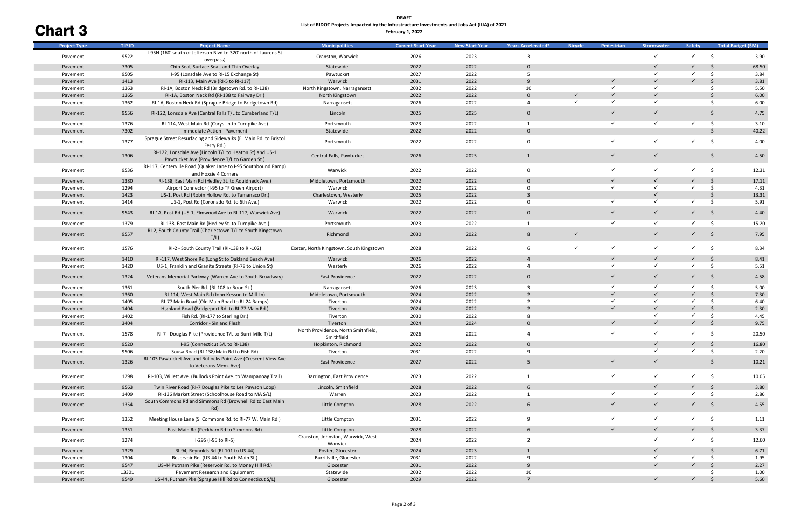#### **DRAFT List of RIDOT Projects Impacted by the Infrastructure Investments and Jobs Act (IIJA) of 2021 February 1, 2022**

| <b>Project Type</b> | <b>TIP ID</b> | <b>Project Name</b>                                                                                      | <b>Municipalities</b>                             | <b>Current Start Year</b> | <b>New Start Year</b> | Years Accelerated* | <b>Bicycle</b> | Pedestrian   | <b>Stormwater</b> | <b>Safety</b>                 |                     | Total Budget (\$M) |
|---------------------|---------------|----------------------------------------------------------------------------------------------------------|---------------------------------------------------|---------------------------|-----------------------|--------------------|----------------|--------------|-------------------|-------------------------------|---------------------|--------------------|
| Pavement            | 9522          | I-95N (160' south of Jefferson Blvd to 320' north of Laurens St<br>overpass)                             | Cranston, Warwick                                 | 2026                      | 2023                  | $\overline{3}$     |                |              | ✓                 | $\checkmark$                  | - \$                | 3.90               |
| Pavement            | 7305          | Chip Seal, Surface Seal, and Thin Overlay                                                                | Statewide                                         | 2022                      | 2022                  | $\mathbf{0}$       |                |              | $\checkmark$      | $\checkmark$                  | $\mathsf{S}$        | 68.50              |
| Pavement            | 9505          | I-95 (Lonsdale Ave to RI-15 Exchange St)                                                                 | Pawtucket                                         | 2027                      | 2022                  | 5                  |                |              | $\checkmark$      | $\checkmark$                  | Ŝ.                  | 3.84               |
| Pavement            | 1413          | RI-113, Main Ave (RI-5 to RI-117)                                                                        | Warwick                                           | 2031                      | 2022                  | 9                  |                | $\checkmark$ | $\checkmark$      | $\checkmark$                  | <sup>S</sup>        | 3.81               |
| Pavement            | 1363          | RI-1A, Boston Neck Rd (Bridgetown Rd. to RI-138)                                                         | North Kingstown, Narragansett                     | 2032                      | 2022                  | 10                 |                | $\checkmark$ | ✓                 |                               | Ś                   | 5.50               |
| Pavement            | 1365          | RI-1A, Boston Neck Rd (RI-138 to Fairway Dr.)                                                            | North Kingstown                                   | 2022                      | 2022                  | $\mathbf{0}$       | $\checkmark$   | $\checkmark$ | $\checkmark$      |                               |                     | $6.00\,$           |
| Pavement            | 1362          | RI-1A, Boston Neck Rd (Sprague Bridge to Bridgetown Rd)                                                  | Narragansett                                      | 2026                      | 2022                  | 4                  | $\checkmark$   | $\checkmark$ | $\checkmark$      |                               | Ŝ.                  | 6.00               |
| Pavement            | 9556          | RI-122, Lonsdale Ave (Central Falls T/L to Cumberland T/L)                                               | Lincoln                                           | 2025                      | 2025                  | $\mathbf{0}$       |                | $\checkmark$ | ✓                 |                               | Ŝ.                  | 4.75               |
| Pavement            | 1376          | RI-114, West Main Rd (Corys Ln to Turnpike Ave)                                                          | Portsmouth                                        | 2023                      | 2022                  | 1                  |                | $\checkmark$ | $\checkmark$      | ✓                             | - Ś                 | 3.10               |
| Pavement            | 7302          | Immediate Action - Pavement                                                                              | Statewide                                         | 2022                      | 2022                  | $\mathbf{0}$       |                |              |                   |                               | $\zeta$             | 40.22              |
| Pavement            | 1377          | Sprague Street Resurfacing and Sidewalks (E. Main Rd. to Bristol<br>Ferry Rd.)                           | Portsmouth                                        | 2022                      | 2022                  | $\mathbf 0$        |                | $\checkmark$ | $\checkmark$      | $\checkmark$                  | - Ś                 | 4.00               |
| Pavement            | 1306          | RI-122, Lonsdale Ave (Lincoln T/L to Heaton St) and US-1<br>Pawtucket Ave (Providence T/L to Garden St.) | Central Falls, Pawtucket                          | 2026                      | 2025                  | 1                  |                | $\checkmark$ | $\checkmark$      |                               | \$                  | 4.50               |
| Pavement            | 9536          | RI-117, Centerville Road (Quaker Lane to I-95 Southbound Ramp)<br>and Hoxsie 4 Corners                   | Warwick                                           | 2022                      | 2022                  | $\mathbf 0$        |                | $\checkmark$ | $\checkmark$      | $\checkmark$                  | - \$                | 12.31              |
| Pavement            | 1380          | RI-138, East Main Rd (Hedley St. to Aquidneck Ave.)                                                      | Middletown, Portsmouth                            | 2022                      | 2022                  | $\Omega$           |                |              | $\checkmark$      |                               | -Ś                  | 17.11              |
| Pavement            | 1294          | Airport Connector (I-95 to TF Green Airport)                                                             | Warwick                                           | 2022                      | 2022                  | $\mathbf 0$        |                | $\checkmark$ | $\checkmark$      | $\checkmark$                  | Ŝ.                  | 4.31               |
| Pavement            | 1423          | US-1, Post Rd (Robin Hollow Rd. to Tamanaco Dr.)                                                         | Charlestown, Westerly                             | 2025                      | 2022                  | 3                  |                |              | $\checkmark$      |                               | <sup>S</sup>        | 13.31              |
| Pavement            | 1414          | US-1, Post Rd (Coronado Rd. to 6th Ave.)                                                                 | Warwick                                           | 2022                      | 2022                  | $\mathbf 0$        |                | $\checkmark$ | $\checkmark$      | $\checkmark$                  | - Ś                 | 5.91               |
|                     |               |                                                                                                          |                                                   |                           |                       |                    |                |              |                   |                               |                     |                    |
| Pavement            | 9543          | RI-1A, Post Rd (US-1, Elmwood Ave to RI-117, Warwick Ave)                                                | Warwick                                           | 2022                      | 2022                  | $\mathbf{0}$       |                | $\checkmark$ | ✓                 | $\checkmark$                  | - Ś                 | 4.40               |
| Pavement            | 1379          | RI-138, East Main Rd (Hedley St. to Turnpike Ave.)                                                       | Portsmouth                                        | 2023                      | 2022                  | 1                  |                | $\checkmark$ | $\checkmark$      | $\checkmark$                  | - Ś                 | 15.20              |
| Pavement            | 9557          | RI-2, South County Trail (Charlestown T/L to South Kingstown<br>T/L                                      | Richmond                                          | 2030                      | 2022                  | 8                  | $\checkmark$   |              | $\checkmark$      | $\checkmark$                  | - \$                | 7.95               |
| Pavement            | 1576          | RI-2 - South County Trail (RI-138 to RI-102)                                                             | Exeter, North Kingstown, South Kingstown          | 2028                      | 2022                  | 6                  | $\checkmark$   | $\checkmark$ | $\checkmark$      | $\checkmark$                  | - \$                | 8.34               |
| Pavement            | 1410          | RI-117, West Shore Rd (Long St to Oakland Beach Ave)                                                     | Warwick                                           | 2026                      | 2022                  | $\overline{4}$     |                | $\checkmark$ | $\checkmark$      |                               | -Ś                  | 8.41               |
| Pavement            | 1420          | US-1, Franklin and Granite Streets (RI-78 to Union St)                                                   | Westerly                                          | 2026                      | 2022                  | $\overline{4}$     |                | $\checkmark$ | $\checkmark$      |                               | Ŝ.                  | 5.51               |
| Pavement            | 1324          | Veterans Memorial Parkway (Warren Ave to South Broadway)                                                 | <b>East Providence</b>                            | 2022                      | 2022                  | $\mathbf{0}$       |                | $\checkmark$ | $\checkmark$      | $\checkmark$                  | - \$                | 4.58               |
| Pavement            | 1361          | South Pier Rd. (RI-108 to Boon St.)                                                                      | Narragansett                                      | 2026                      | 2023                  | $\overline{3}$     |                | $\checkmark$ | $\checkmark$      | $\checkmark$                  | Ŝ.                  | 5.00               |
| Pavement            | 1360          | RI-114, West Main Rd (John Kesson to Mill Ln)                                                            | Middletown, Portsmouth                            | 2024                      | 2022                  | $\overline{2}$     |                | $\checkmark$ | $\checkmark$      | $\checkmark$                  | $\mathsf{S}$        | 7.30               |
| Pavement            | 1405          | RI-77 Main Road (Old Main Road to RI-24 Ramps)                                                           | Tiverton                                          | 2024                      | 2022                  | $\overline{2}$     |                | $\checkmark$ | $\checkmark$      | $\checkmark$                  | Ŝ.                  | 6.40               |
| Pavement            | 1404          | Highland Road (Bridgeport Rd. to RI-77 Main Rd.)                                                         | Tiverton                                          | 2024                      | 2022                  | $\overline{2}$     |                | $\checkmark$ | $\checkmark$      | $\checkmark$                  | Ŝ.                  | 2.30               |
| Pavement            | 1402          | Fish Rd. (RI-177 to Sterling Dr.)                                                                        | Tiverton                                          | 2030                      | 2022                  | 8                  |                |              | $\checkmark$      | $\checkmark$                  | Ś                   | 4.45               |
| Pavement            | 3404          | Corridor - Sin and Flesh                                                                                 | Tiverton                                          | 2024                      | 2024                  | $\Omega$           |                | $\checkmark$ | $\checkmark$      | $\checkmark$                  | <sup>S</sup>        | 9.75               |
| Pavement            | 1578          | RI-7 - Douglas Pike (Providence T/L to Burrillville T/L)                                                 | North Providence, North Smithfield,<br>Smithfield | 2026                      | 2022                  | 4                  |                | $\checkmark$ | ✓                 | $\checkmark$                  | -Ś                  | 20.50              |
| Pavement            | 9520          | I-95 (Connecticut S/L to RI-138)                                                                         | Hopkinton, Richmond                               | 2022                      | 2022                  | $\mathbf{0}$       |                |              | $\checkmark$      | $\checkmark$                  | - \$                | 16.80              |
| Pavement            | 9506          | Sousa Road (RI-138/Main Rd to Fish Rd)                                                                   | Tiverton                                          | 2031                      | 2022                  | 9                  |                |              | $\checkmark$      |                               | Ŝ.                  | 2.20               |
|                     |               | RI-103 Pawtucket Ave and Bullocks Point Ave (Crescent View Ave                                           |                                                   |                           |                       |                    |                |              |                   |                               |                     |                    |
| Pavement            | 1326          | to Veterans Mem. Ave)                                                                                    | <b>East Providence</b>                            | 2027                      | 2022                  | 5 <sub>5</sub>     |                | $\checkmark$ | $\checkmark$      |                               | \$                  | 10.21              |
| Pavement            | 1298          | RI-103, Willett Ave. (Bullocks Point Ave. to Wampanoag Trail)                                            | Barrington, East Providence                       | 2023                      | 2022                  | 1                  |                | $\checkmark$ | $\checkmark$      | $\checkmark$                  | $\ddot{\mathsf{s}}$ | 10.05              |
| Pavement            | 9563          | Twin River Road (RI-7 Douglas Pike to Les Pawson Loop)                                                   | Lincoln, Smithfield                               | 2028                      | 2022                  | 6                  |                |              | $\checkmark$      | $\checkmark$                  | \$                  | 3.80               |
| Pavement            | 1409          | RI-136 Market Street (Schoolhouse Road to MA S/L)                                                        | Warren                                            | 2023                      | 2022                  | 1                  |                | $\checkmark$ | $\checkmark$      | $\checkmark$                  | - Ś                 | 2.86               |
| Pavement            | 1354          | South Commons Rd and Simmons Rd (Brownell Rd to East Main<br>Rd)                                         | Little Compton                                    | 2028                      | 2022                  | 6                  |                | $\checkmark$ | $\checkmark$      | $\checkmark$ \$               |                     | 4.55               |
| Pavement            | 1352          | Meeting House Lane (S. Commons Rd. to RI-77 W. Main Rd.)                                                 | Little Compton                                    | 2031                      | 2022                  | 9                  |                | $\checkmark$ | $\checkmark$      | $\checkmark$                  | \$                  | 1.11               |
| Pavement            | 1351          | East Main Rd (Peckham Rd to Simmons Rd)                                                                  | Little Compton                                    | 2028                      | 2022                  | 6                  |                | $\checkmark$ | $\checkmark$      | $\checkmark$ and $\checkmark$ | - \$                | 3.37               |
| Pavement            | 1274          | I-295 (I-95 to RI-5)                                                                                     | Cranston, Johnston, Warwick, West<br>Warwick      | 2024                      | 2022                  | $\overline{2}$     |                |              | $\checkmark$      | $\checkmark$                  | - \$                | 12.60              |
| Pavement            | 1329          | RI-94, Reynolds Rd (RI-101 to US-44)                                                                     | Foster, Glocester                                 | 2024                      | 2023                  | $\mathbf{1}$       |                |              | $\checkmark$      |                               | Ś.                  | 6.71               |
| Pavement            | 1304          | Reservoir Rd. (US-44 to South Main St.)                                                                  | Burrillville, Glocester                           | 2031                      | 2022                  | 9                  |                |              | $\checkmark$      | $\checkmark$                  | Ŝ.                  | 1.95               |
| Pavement            | 9547          | US-44 Putnam Pike (Reservoir Rd. to Money Hill Rd.)                                                      | Glocester                                         | 2031                      | 2022                  | 9                  |                |              | $\checkmark$      | $\checkmark$                  | $\mathsf{S}$        | 2.27               |
| Pavement            | 13301         | Pavement Research and Equipment                                                                          | Statewide                                         | 2032                      | 2022                  | 10                 |                |              |                   |                               | Ŝ                   | 1.00               |
| Pavement            | 9549          | US-44, Putnam Pke (Sprague Hill Rd to Connecticut S/L)                                                   | Glocester                                         | 2029                      | 2022                  | $\overline{7}$     |                |              | $\checkmark$      | $\checkmark$                  | S.                  | 5.60               |
|                     |               |                                                                                                          |                                                   |                           |                       |                    |                |              |                   |                               |                     |                    |

| <b>Chart 3</b> |  |
|----------------|--|
|                |  |